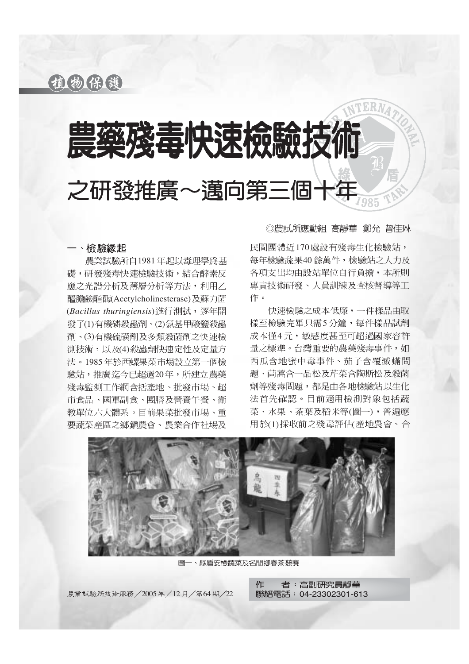植物保護

# 農藥殘毒快速檢驗技 之研發推廣~邁向第三個十

## 一、檢驗緣起

農業試驗所自1981年起以毒理學為基 礎,研發殘毒快速檢驗技術,結合酵素反 應之光譜分析及薄層分析等方法,利用乙 醯膽鹼酯酶(Acetylcholinesterase)及蘇力菌 (*Bacillus thuringiensis*) 發了(1)有機磷殺蟲劑、(2)氨基甲酸鹽殺蟲 劑、(3)有機硫磺劑及多類殺菌劑之快速檢 測技術,以及(4)殺蟲劑快速定性及定量方 法。1985年於西螺果菜市場設立第一個檢 驗站,推廣迄今已超過20年,所建立農藥 殘毒監測工作網含括產地、批發市場、紹 市食品、國軍副食、團膳及營養午餐、衛 教單位六大體系。目前果菜批發市場、重 要蔬菜產區之鄉鎭農會、農業合作社場及

◎農試所應動組 高靜華 鄭允 曾佳琳

民間團體沂170處設有殘毒生化檢驗站, 每年檢驗蔬果40餘萬件,檢驗站之人力及 各項支出均由設站單位自行負擔,本所則 專責技術研發、人員訓練及查核督導等工 作。

快速檢驗之成本低廉,一件樣品由取 樣至檢驗完畢只需5分鐘,每件樣品試劑 成本僅4元, 敏感度甚至可超過國家容許 量之標準。台灣重要的農藥殘毒事件,如 西瓜含地密中毒事件、茄子含覆滅蟎問 題、茼蒿含一品松及芹菜含陶斯松及殺菌 劑等殘毒問題,都是由各地檢驗站以生化 法首先確認。目前適用檢測對象包括蔬 菜、水果、茶葉及稻米等(圖一),普遍應 用於(1) 採收前之殘毒評估(產地農會、合



圖一、綠盾安檢蔬菜及名間鄕春茶競賽

農業試驗所技術服務/2005年/12月/第64期/22 酪絡電話: 04-23302301-613

作 者: 高副研究員靜華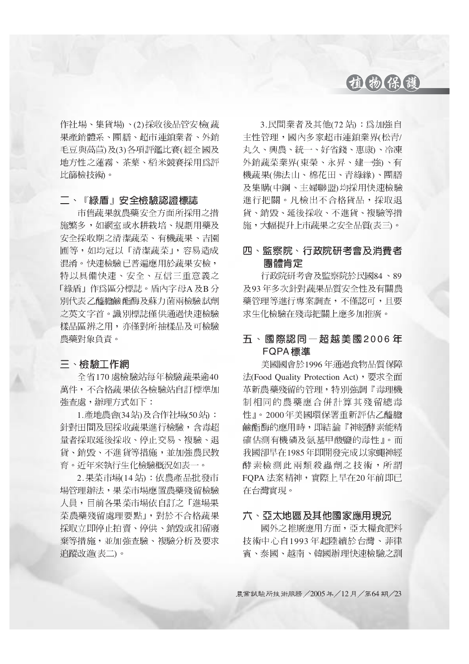## 植物保護

作社場、集貨場)、(2)採收後品管安檢(蔬 果產銷體系、團膳、超市連鎖業者、外銷 毛豆與萵苣)及(3)各項評鑑比賽(經全國及 地方性之蓮霧、茶葉、稻米競賽採用為評 比篩檢技術。

## 二、『綠盾』安全檢驗認證標誌

市售蔬果就農藥安全方面所採用之措 施繁多,如網室或水耕栽培、規劃用藥及 安全採收期之清潔蔬菜、有機蔬果、吉園 圃等,如均冠以「清潔蔬菜」,容易造成 混淆。快速檢驗已普遍應用於蔬果安檢, 特以具備快速、安全、互信三重意義之 「綠盾」作為區分標誌。盾內字母A及B分 別代表乙醯膽鹼酯酶及蘇力菌兩檢驗試劑 之英文字首。識別標誌僅供通過快速檢驗 樣品區辨之用,亦僅對所抽樣品及可檢驗 農藥對象負責。

## 三、檢驗工作網

全省170 處檢驗站每年檢驗蔬果逾40 萬件,不合格蔬果依各檢驗站自訂標準加 **強杳處,辦理方式如下:** 

1. 產地農會(34站) 及合作社場(50站): 針對田間及屆採收蔬果進行檢驗,含毒超 量者採取延後採收、停止交易、複驗、退 貨、銷毀、不進貨等措施,並加強農民教 育。沂年來執行生化檢驗概況如表一。

2. 果菜市場(14站): 依農產品批發市 場管理辦法,果菜市場應置農藥殘留檢驗 人員,目前各果菜市場依自訂之「進場果 菜農藥殘留處理要點」,對於不合格蓋果 採取立即停止拍賣、停供、銷毀或扣留廢 棄等措施,並加強查驗、複驗分析及要求 追蹤改進(表二)。

3. 民間業者及其他(72站):為加強自 主性管理,國內多家超市連鎖業界(松青/ 丸久、興農、統一、好省錢、惠康)、冷凍 外銷蔬菜業界(東榮、永昇、建一強)、有 機蔬果(佛法山、棉花田、青綠緣)、團膳 及集購(中鋼、主婦聯盟)均採用快速檢驗 進行把關。凡檢出不合格貨品,採取退 貨、銷毀、延後採收、不進貨、複驗等措 施,大幅提升上市蔬果之安全品質(表三)。

## 四、監察院、行政院研考會及消費者 團體肯定

行政院研考會及監察院於民國84、89 及93年多次針對蔬果品質安全性及有關農 藥管理等進行專案調查,不僅認可,且要 求生化檢驗在殘毒把關上應多加推廣。

## 五、國際認同一超越美國2006年 **FQPA標進**

美國國會於1996年通過食物品質保障 法(Food Quality Protection Act), 要求全面 革新農藥殘留的管理,特別強調『毒理機 制相同的農藥應合併計算其殘留總毒 性』。2000年美國環保署重新評估乙醯膽 鹼酯酶的應用時,即結論『神經酵素能精 確估測有機磷及氨基甲酸鹽的毒性」。而 我國卻早在1985年即開發完成以家蠅神經 酵素檢測此兩類殺蟲劑之技術,所謂 FOPA 法案精神,實際上早在20年前即已 在台灣實現。

## 六、亞太地區及其他國家應用現況

國外之推廣應用方面, 亞太糧食肥料 技術中心自1993年起陸續於台灣、菲律 賓、泰國、越南、韓國辦理快速檢驗之訓

農業試驗所技術服務 / 2005年/12月/第64期/23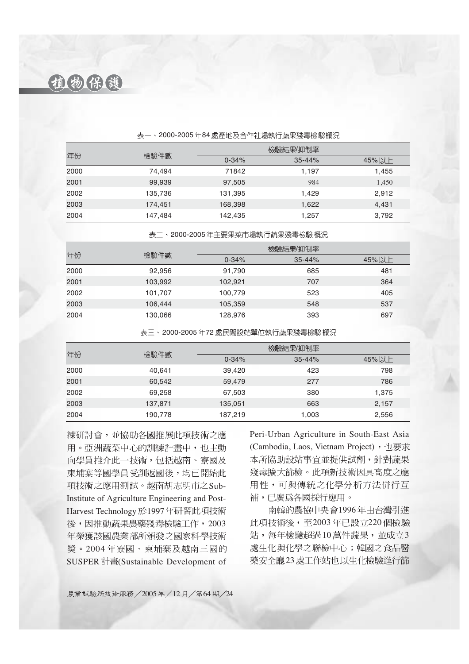植物保護

|      | 檢驗件數    | 檢驗結果/抑制率  |            |       |
|------|---------|-----------|------------|-------|
| 年份   |         | $0 - 34%$ | $35 - 44%$ | 45%以上 |
| 2000 | 74.494  | 71842     | 1.197      | 1,455 |
| 2001 | 99,939  | 97,505    | 984        | 1,450 |
| 2002 | 135,736 | 131,395   | 1,429      | 2,912 |
| 2003 | 174,451 | 168,398   | 1,622      | 4,431 |
| 2004 | 147,484 | 142,435   | 1,257      | 3,792 |

#### 表一、2000-2005年84處產地及合作社場執行蔬果殘毒檢驗概況

表二、2000-2005年主要果菜市場執行蔬果殘毒檢驗 概況

|      | 檢驗件數    | 檢驗結果/抑制率  |            |       |
|------|---------|-----------|------------|-------|
| 年份   |         | $0 - 34%$ | $35 - 44%$ | 45%以上 |
| 2000 | 92,956  | 91,790    | 685        | 481   |
| 2001 | 103,992 | 102,921   | 707        | 364   |
| 2002 | 101,707 | 100.779   | 523        | 405   |
| 2003 | 106,444 | 105,359   | 548        | 537   |
| 2004 | 130,066 | 128,976   | 393        | 697   |

表三、2000-2005年72 處民間設站單位執行蔬果殘毒檢驗概況

|      | 檢驗件數    |           | 檢驗結果/抑制率   |       |
|------|---------|-----------|------------|-------|
| 年份   |         | $0 - 34%$ | $35 - 44%$ | 45%以上 |
| 2000 | 40,641  | 39,420    | 423        | 798   |
| 2001 | 60.542  | 59,479    | 277        | 786   |
| 2002 | 69,258  | 67,503    | 380        | 1,375 |
| 2003 | 137,871 | 135,051   | 663        | 2,157 |
| 2004 | 190,778 | 187,219   | 1,003      | 2,556 |

練研討會,並協助各國推展此項技術之應 用。亞洲蔬菜中心的訓練計畫中,也主動 向學員推介此一技術,包括越南、寮國及 柬埔寨等國學員受訓返國後,均已開始此 項技術之應用測試。越南胡志明市之Sub-Institute of Agriculture Engineering and Post-Harvest Technology 於1997年研習此項技術 後,因推動蔬果農藥殘毒檢驗工作,2003 年榮獲該國農業部所頒發之國家科學技術 獎。2004年寮國、柬埔寨及越南三國的 SUSPER 計畫(Sustainable Development of

Peri-Urban Agriculture in South-East Asia (Cambodia, Laos, Vietnam Project), 也要求 本所協助設站事宜並提供試劑,針對蔬果 殘毒擴大篩檢。此項新技術因具高度之應 用性,可與傳統之化學分析方法併行互 補,已廣爲各國採行應用。

南韓的農協中央會1996年由台灣引進 此項技術後,至2003年已設立220個檢驗 站,每年檢驗超過10萬件蔬果,並成立3 處生化與化學之聯檢中心;韓國之食品醫 藥安全廳23處工作站也以生化檢驗進行篩

農業試驗所技術服務 / 2005年 / 12月 / 第64期 / 24